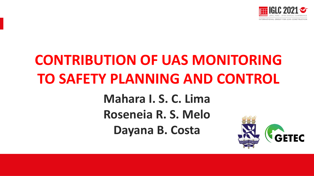

# **CONTRIBUTION OF UAS MONITORING TO SAFETY PLANNING AND CONTROL**

**Mahara I. S. C. Lima Roseneia R. S. Melo Dayana B. Costa**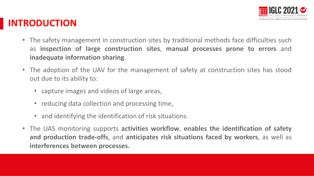

### **INTRODUCTION**

- The safety management in construction sites by traditional methods face difficulties such as **inspection of large construction sites**, **manual processes prone to errors** and **inadequate information sharing**.
- The adoption of the UAV for the management of safety at construction sites has stood out due to its ability to:
	- capture images and videos of large areas,
	- reducing data collection and processing time,
	- and identifying the identification of risk situations.
- The UAS monitoring supports **activities workflow**, **enables the identification of safety and production trade-offs**, and **anticipates risk situations faced by workers**, as well as **interferences between processes.**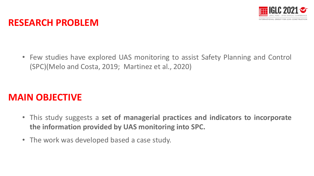

#### **RESEARCH PROBLEM**

• Few studies have explored UAS monitoring to assist Safety Planning and Control (SPC)(Melo and Costa, 2019; Martinez et al., 2020)

#### **MAIN OBJECTIVE**

- This study suggests a **set of managerial practices and indicators to incorporate the information provided by UAS monitoring into SPC.**
- The work was developed based a case study.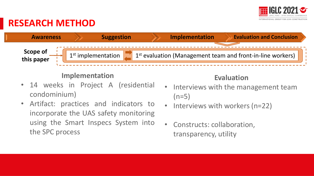

### **RESEARCH METHOD**



#### **Implementation**

- 14 weeks in Project A (residential condominium)
- Artifact: practices and indicators to incorporate the UAS safety monitoring using the Smart Inspecs System into the SPC process

#### **Evaluation**

- $(n=5)$ Interviews with the management team  $(n=5)$ 
	- Interviews with workers  $(n=22)$
	- Constructs: collaboration, transparency, utility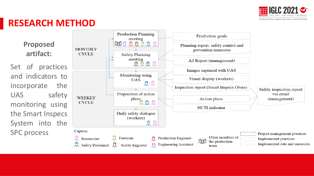

### **RESEARCH METHOD**

**Proposed artifact:**

Set of practices and indicators to incorporate the UAS safety monitoring using the Smart Inspecs System into the SPC process

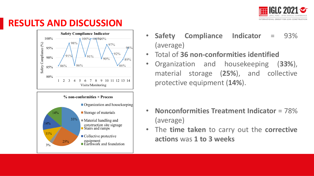

### **RESULTS AND DISCUSSION**





- **Safety Compliance Indicator** = 93% (average)
- Total of **36 non-conformities identified**
- Organization and housekeeping (**33%**), material storage (**25%**), and collective protective equipment (**14%**).

- **Nonconformities Treatment Indicator** = 78% (average)
- The **time taken** to carry out the **corrective actions** was **1 to 3 weeks**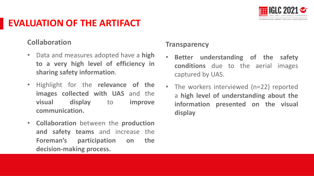

### **EVALUATION OF THE ARTIFACT**

#### **Collaboration**

- Data and measures adopted have a **high to a very high level of efficiency in sharing safety information**.
- Highlight for the **relevance of the images collected with UAS** and the **visual display** to **improve communication.**
- **Collaboration** between the **production and safety teams** and increase the **Foreman's participation on the decision-making process.**

#### **Transparency**

- **Better understanding of the safety conditions** due to the aerial images captured by UAS.
- Presentación Presentación Presentación a **high level of understanding about the** The workers interviewed (n=22) reported **information presented on the visual display**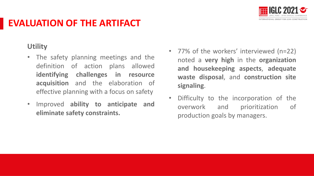

### **EVALUATION OF THE ARTIFACT**

#### **Utility**

- The safety planning meetings and the definition of action plans allowed **identifying challenges in resource acquisition** and the elaboration of effective planning with a focus on safety
- Improved **ability to anticipate and eliminate safety constraints.**
- 77% of the workers' interviewed (n=22) noted a **very high** in the **organization and housekeeping aspects**, **adequate waste disposal**, and **construction site signaling**.
- Difficulty to the incorporation of the overwork and prioritization of production goals by managers.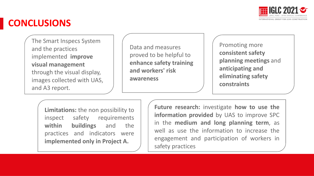

### **CONCLUSIONS**

The Smart Inspecs System and the practices implemented **improve visual management**  through the visual display, images collected with UAS, and A3 report.

Data and measures proved to be helpful to **enhance safety training and workers' risk awareness**

Promoting more **consistent safety planning meetings** and **anticipating and eliminating safety constraints**

**Limitations:** the non possibility to inspect safety requirements **within buildings** and the practices and indicators were **implemented only in Project A.**

**Future research:** investigate **how to use the information provided** by UAS to improve SPC in the **medium and long planning term**, as well as use the information to increase the engagement and participation of workers in safety practices